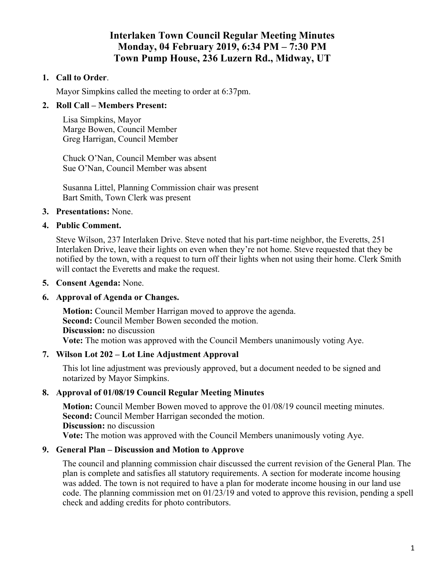# **Interlaken Town Council Regular Meeting Minutes Monday, 04 February 2019, 6:34 PM – 7:30 PM Town Pump House, 236 Luzern Rd., Midway, UT**

### **1. Call to Order**.

Mayor Simpkins called the meeting to order at 6:37pm.

### **2. Roll Call – Members Present:**

Lisa Simpkins, Mayor Marge Bowen, Council Member Greg Harrigan, Council Member

Chuck O'Nan, Council Member was absent Sue O'Nan, Council Member was absent

Susanna Littel, Planning Commission chair was present Bart Smith, Town Clerk was present

### **3. Presentations:** None.

### **4. Public Comment.**

Steve Wilson, 237 Interlaken Drive. Steve noted that his part-time neighbor, the Everetts, 251 Interlaken Drive, leave their lights on even when they're not home. Steve requested that they be notified by the town, with a request to turn off their lights when not using their home. Clerk Smith will contact the Everetts and make the request.

#### **5. Consent Agenda:** None.

### **6. Approval of Agenda or Changes.**

**Motion:** Council Member Harrigan moved to approve the agenda. **Second:** Council Member Bowen seconded the motion. **Discussion:** no discussion **Vote:** The motion was approved with the Council Members unanimously voting Aye.

### **7. Wilson Lot 202 – Lot Line Adjustment Approval**

This lot line adjustment was previously approved, but a document needed to be signed and notarized by Mayor Simpkins.

### **8. Approval of 01/08/19 Council Regular Meeting Minutes**

**Motion:** Council Member Bowen moved to approve the 01/08/19 council meeting minutes. **Second:** Council Member Harrigan seconded the motion. **Discussion:** no discussion **Vote:** The motion was approved with the Council Members unanimously voting Aye.

### **9. General Plan – Discussion and Motion to Approve**

The council and planning commission chair discussed the current revision of the General Plan. The plan is complete and satisfies all statutory requirements. A section for moderate income housing was added. The town is not required to have a plan for moderate income housing in our land use code. The planning commission met on 01/23/19 and voted to approve this revision, pending a spell check and adding credits for photo contributors.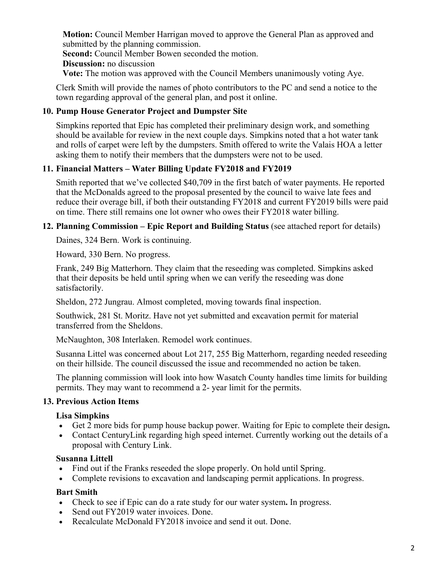**Motion:** Council Member Harrigan moved to approve the General Plan as approved and submitted by the planning commission.

**Second:** Council Member Bowen seconded the motion.

**Discussion:** no discussion

**Vote:** The motion was approved with the Council Members unanimously voting Aye.

Clerk Smith will provide the names of photo contributors to the PC and send a notice to the town regarding approval of the general plan, and post it online.

# **10. Pump House Generator Project and Dumpster Site**

Simpkins reported that Epic has completed their preliminary design work, and something should be available for review in the next couple days. Simpkins noted that a hot water tank and rolls of carpet were left by the dumpsters. Smith offered to write the Valais HOA a letter asking them to notify their members that the dumpsters were not to be used.

# **11. Financial Matters – Water Billing Update FY2018 and FY2019**

Smith reported that we've collected \$40,709 in the first batch of water payments. He reported that the McDonalds agreed to the proposal presented by the council to waive late fees and reduce their overage bill, if both their outstanding FY2018 and current FY2019 bills were paid on time. There still remains one lot owner who owes their FY2018 water billing.

### **12. Planning Commission – Epic Report and Building Status** (see attached report for details)

Daines, 324 Bern. Work is continuing.

Howard, 330 Bern. No progress.

Frank, 249 Big Matterhorn. They claim that the reseeding was completed. Simpkins asked that their deposits be held until spring when we can verify the reseeding was done satisfactorily.

Sheldon, 272 Jungrau. Almost completed, moving towards final inspection.

Southwick, 281 St. Moritz. Have not yet submitted and excavation permit for material transferred from the Sheldons.

McNaughton, 308 Interlaken. Remodel work continues.

Susanna Littel was concerned about Lot 217, 255 Big Matterhorn, regarding needed reseeding on their hillside. The council discussed the issue and recommended no action be taken.

The planning commission will look into how Wasatch County handles time limits for building permits. They may want to recommend a 2- year limit for the permits.

# **13. Previous Action Items**

### **Lisa Simpkins**

- Get 2 more bids for pump house backup power. Waiting for Epic to complete their design**.**
- Contact CenturyLink regarding high speed internet. Currently working out the details of a proposal with Century Link.

### **Susanna Littell**

- Find out if the Franks reseeded the slope properly. On hold until Spring.
- Complete revisions to excavation and landscaping permit applications. In progress.

### **Bart Smith**

- Check to see if Epic can do a rate study for our water system**.** In progress.
- Send out FY2019 water invoices. Done.
- Recalculate McDonald FY2018 invoice and send it out. Done.